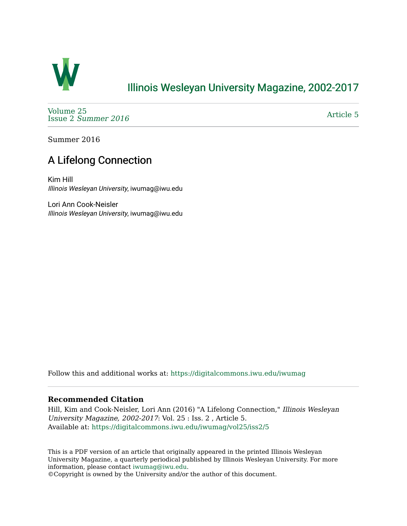

## [Illinois Wesleyan University Magazine, 2002-2017](https://digitalcommons.iwu.edu/iwumag)

[Volume 25](https://digitalcommons.iwu.edu/iwumag/vol25)  Issue 2 [Summer 2016](https://digitalcommons.iwu.edu/iwumag/vol25/iss2) 

[Article 5](https://digitalcommons.iwu.edu/iwumag/vol25/iss2/5) 

Summer 2016

## A Lifelong Connection

Kim Hill Illinois Wesleyan University, iwumag@iwu.edu

Lori Ann Cook-Neisler Illinois Wesleyan University, iwumag@iwu.edu

Follow this and additional works at: [https://digitalcommons.iwu.edu/iwumag](https://digitalcommons.iwu.edu/iwumag?utm_source=digitalcommons.iwu.edu%2Fiwumag%2Fvol25%2Fiss2%2F5&utm_medium=PDF&utm_campaign=PDFCoverPages) 

#### **Recommended Citation**

Hill, Kim and Cook-Neisler, Lori Ann (2016) "A Lifelong Connection," Illinois Wesleyan University Magazine, 2002-2017: Vol. 25 : Iss. 2 , Article 5. Available at: [https://digitalcommons.iwu.edu/iwumag/vol25/iss2/5](https://digitalcommons.iwu.edu/iwumag/vol25/iss2/5?utm_source=digitalcommons.iwu.edu%2Fiwumag%2Fvol25%2Fiss2%2F5&utm_medium=PDF&utm_campaign=PDFCoverPages)

This is a PDF version of an article that originally appeared in the printed Illinois Wesleyan University Magazine, a quarterly periodical published by Illinois Wesleyan University. For more information, please contact [iwumag@iwu.edu](mailto:iwumag@iwu.edu).

©Copyright is owned by the University and/or the author of this document.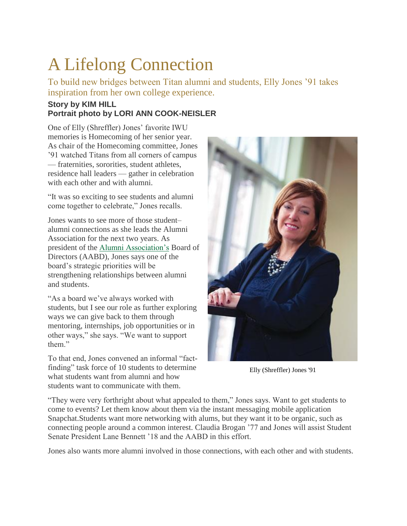# A Lifelong Connection

To build new bridges between Titan alumni and students, Elly Jones '91 takes inspiration from her own college experience.

### **Story by KIM HILL Portrait photo by LORI ANN COOK-NEISLER**

One of Elly (Shreffler) Jones' favorite IWU memories is Homecoming of her senior year. As chair of the Homecoming committee, Jones '91 watched Titans from all corners of campus — fraternities, sororities, student athletes, residence hall leaders — gather in celebration with each other and with alumni.

"It was so exciting to see students and alumni come together to celebrate," Jones recalls.

Jones wants to see more of those student– alumni connections as she leads the Alumni Association for the next two years. As president of the [Alumni Association's](http://www.titanpride.org/s/653/index.aspx?sid=653&gid=1&pgid=2056) Board of Directors (AABD), Jones says one of the board's strategic priorities will be strengthening relationships between alumni and students.

"As a board we've always worked with students, but I see our role as further exploring ways we can give back to them through mentoring, internships, job opportunities or in other ways," she says. "We want to support them"

To that end, Jones convened an informal "factfinding" task force of 10 students to determine what students want from alumni and how students want to communicate with them.



Elly (Shreffler) Jones '91

"They were very forthright about what appealed to them," Jones says. Want to get students to come to events? Let them know about them via the instant messaging mobile application Snapchat.Students want more networking with alums, but they want it to be organic, such as connecting people around a common interest. Claudia Brogan '77 and Jones will assist Student Senate President Lane Bennett '18 and the AABD in this effort.

Jones also wants more alumni involved in those connections, with each other and with students.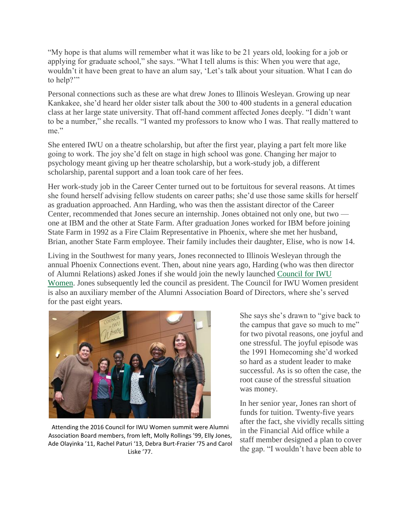"My hope is that alums will remember what it was like to be 21 years old, looking for a job or applying for graduate school," she says. "What I tell alums is this: When you were that age, wouldn't it have been great to have an alum say, 'Let's talk about your situation. What I can do to help?"

Personal connections such as these are what drew Jones to Illinois Wesleyan. Growing up near Kankakee, she'd heard her older sister talk about the 300 to 400 students in a general education class at her large state university. That off-hand comment affected Jones deeply. "I didn't want to be a number," she recalls. "I wanted my professors to know who I was. That really mattered to me."

She entered IWU on a theatre scholarship, but after the first year, playing a part felt more like going to work. The joy she'd felt on stage in high school was gone. Changing her major to psychology meant giving up her theatre scholarship, but a work-study job, a different scholarship, parental support and a loan took care of her fees.

Her work-study job in the Career Center turned out to be fortuitous for several reasons. At times she found herself advising fellow students on career paths; she'd use those same skills for herself as graduation approached. Ann Harding, who was then the assistant director of the Career Center, recommended that Jones secure an internship. Jones obtained not only one, but two one at IBM and the other at State Farm. After graduation Jones worked for IBM before joining State Farm in 1992 as a Fire Claim Representative in Phoenix, where she met her husband, Brian, another State Farm employee. Their family includes their daughter, Elise, who is now 14.

Living in the Southwest for many years, Jones reconnected to Illinois Wesleyan through the annual Phoenix Connections event. Then, about nine years ago, Harding (who was then director of Alumni Relations) asked Jones if she would join the newly launched [Council for IWU](http://www.titanpride.org/s/653/index.aspx?sid=653&gid=1&pgid=1254)  [Women.](http://www.titanpride.org/s/653/index.aspx?sid=653&gid=1&pgid=1254) Jones subsequently led the council as president. The Council for IWU Women president is also an auxiliary member of the Alumni Association Board of Directors, where she's served for the past eight years.



Attending the 2016 Council for IWU Women summit were Alumni Association Board members, from left, Molly Rollings '99, Elly Jones, Ade Olayinka '11, Rachel Paturi '13, Debra Burt-Frazier '75 and Carol Liske '77.

She says she's drawn to "give back to the campus that gave so much to me" for two pivotal reasons, one joyful and one stressful. The joyful episode was the 1991 Homecoming she'd worked so hard as a student leader to make successful. As is so often the case, the root cause of the stressful situation was money.

In her senior year, Jones ran short of funds for tuition. Twenty-five years after the fact, she vividly recalls sitting in the Financial Aid office while a staff member designed a plan to cover the gap. "I wouldn't have been able to